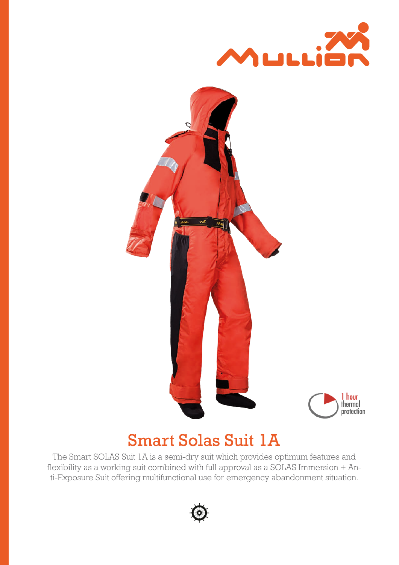



# Smart Solas Suit 1A

The Smart SOLAS Suit 1A is a semi-dry suit which provides optimum features and flexibility as a working suit combined with full approval as a SOLAS Immersion + Anti-Exposure Suit offering multifunctional use for emergency abandonment situation.